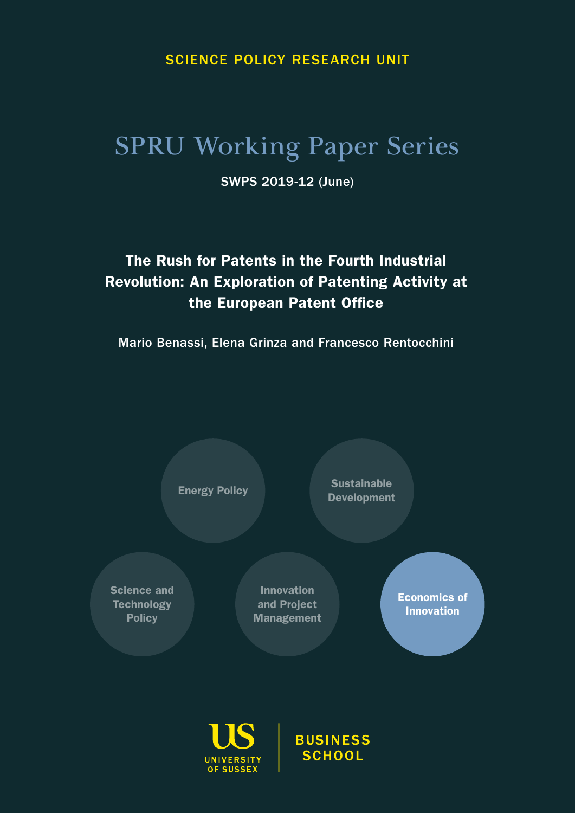# SCIENCE POLICY RESEARCH UNIT

# SPRU Working Paper Series

SWPS 2019-12 (June)

# The Rush for Patents in the Fourth Industrial Revolution: An Exploration of Patenting Activity at the European Patent Office

Mario Benassi, Elena Grinza and Francesco Rentocchini



**BUSINESS SCHOOL** 

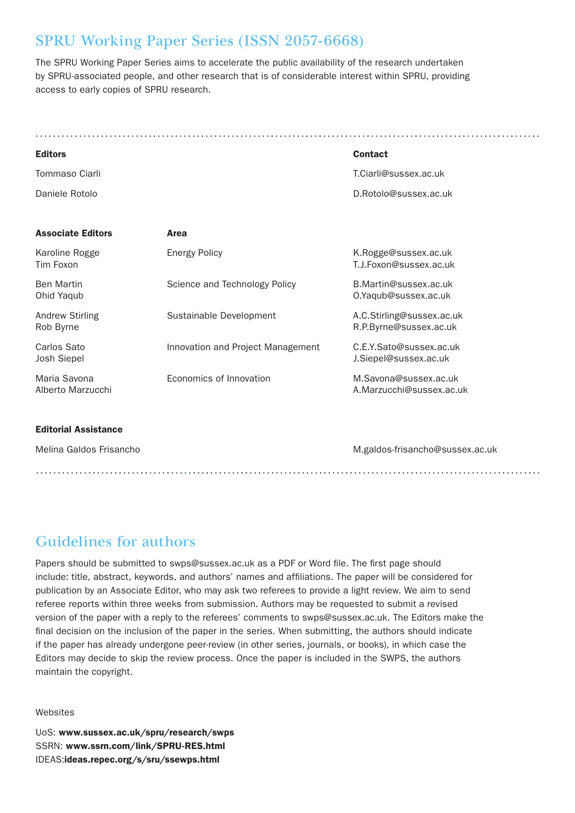# SPRU Working Paper Series (ISSN 2057-6668)

The SPRU Working Paper Series aims to accelerate the public availability of the research undertaken by SPRU-associated people, and other research that is of considerable interest within SPRU, providing access to early copies of SPRU research.

| <b>Editors</b>                      |                                   | <b>Contact</b>                                      |  |
|-------------------------------------|-----------------------------------|-----------------------------------------------------|--|
| Tommaso Ciarli                      |                                   | T.Ciarli@sussex.ac.uk                               |  |
| Daniele Rotolo                      |                                   | D.Rotolo@sussex.ac.uk                               |  |
| <b>Associate Editors</b>            | Area                              |                                                     |  |
| Karoline Rogge<br>Tim Foxon         | <b>Energy Policy</b>              | K.Rogge@sussex.ac.uk<br>T.J.Foxon@sussex.ac.uk      |  |
| <b>Ben Martin</b><br>Ohid Yaqub     | Science and Technology Policy     | B.Martin@sussex.ac.uk<br>O.Yaqub@sussex.ac.uk       |  |
| <b>Andrew Stirling</b><br>Rob Byrne | Sustainable Development           | A.C.Stirling@sussex.ac.uk<br>R.P.Byrne@sussex.ac.uk |  |
| Carlos Sato<br>Josh Siepel          | Innovation and Project Management | C.E.Y.Sato@sussex.ac.uk<br>J.Siepel@sussex.ac.uk    |  |
| Maria Savona<br>Alberto Marzucchi   | Economics of Innovation           | M.Savona@sussex.ac.uk<br>A.Marzucchi@sussex.ac.uk   |  |
|                                     |                                   |                                                     |  |

#### Editorial Assistance

| Melina Galdos Frisancho | M.galdos-frisancho@sussex.ac.uk |
|-------------------------|---------------------------------|
|                         |                                 |

## Guidelines for authors

Papers should be submitted to swps@sussex.ac.uk as a PDF or Word file. The first page should include: title, abstract, keywords, and authors' names and affiliations. The paper will be considered for publication by an Associate Editor, who may ask two referees to provide a light review. We aim to send referee reports within three weeks from submission. Authors may be requested to submit a revised version of the paper with a reply to the referees' comments to swps@sussex.ac.uk. The Editors make the final decision on the inclusion of the paper in the series. When submitting, the authors should indicate if the paper has already undergone peer-review (in other series, journals, or books), in which case the Editors may decide to skip the review process. Once the paper is included in the SWPS, the authors maintain the copyright.

Websites

UoS: www.sussex.ac.uk/spru/research/swps SSRN: www.ssrn.com/link/SPRU-RES.html IDEAS:ideas.repec.org/s/sru/ssewps.html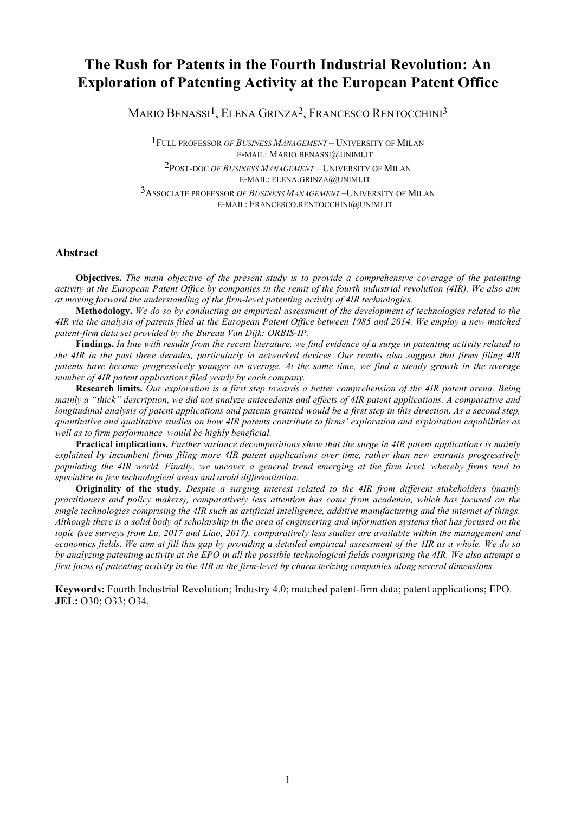# **The Rush for Patents in the Fourth Industrial Revolution: An Exploration of Patenting Activity at the European Patent Office**

MARIO BENASSI<sup>1</sup>, ELENA GRINZA<sup>2</sup>, FRANCESCO RENTOCCHINI<sup>3</sup>

1FULL PROFESSOR *OF BUSINESS MANAGEMENT* – UNIVERSITY OF MILAN E-MAIL: MARIO.BENASSI@UNIMI.IT 2POST-DOC *OF BUSINESS MANAGEMENT* – UNIVERSITY OF MILAN E-MAIL: ELENA.GRINZA@UNIMI.IT 3ASSOCIATE PROFESSOR *OF BUSINESS MANAGEMENT* –UNIVERSITY OF MILAN E-MAIL: FRANCESCO.RENTOCCHINI@UNIMI.IT

#### **Abstract**

**Objectives.** *The main objective of the present study is to provide a comprehensive coverage of the patenting activity at the European Patent Office by companies in the remit of the fourth industrial revolution (4IR). We also aim at moving forward the understanding of the firm-level patenting activity of 4IR technologies.*

**Methodology.** *We do so by conducting an empirical assessment of the development of technologies related to the 4IR via the analysis of patents filed at the European Patent Office between 1985 and 2014. We employ a new matched patent-firm data set provided by the Bureau Van Dijk: ORBIS-IP.*

**Findings.** *In line with results from the recent literature, we find evidence of a surge in patenting activity related to the 4IR in the past three decades, particularly in networked devices. Our results also suggest that firms filing 4IR patents have become progressively younger on average. At the same time, we find a steady growth in the average number of 4IR patent applications filed yearly by each company.* 

**Research limits.** *Our exploration is a first step towards a better comprehension of the 4IR patent arena. Being mainly a "thick" description, we did not analyze antecedents and effects of 4IR patent applications. A comparative and longitudinal analysis of patent applications and patents granted would be a first step in this direction. As a second step, quantitative and qualitative studies on how 4IR patents contribute to firms' exploration and exploitation capabilities as well as to firm performance would be highly beneficial.*

**Practical implications.** *Further variance decompositions show that the surge in 4IR patent applications is mainly explained by incumbent firms filing more 4IR patent applications over time, rather than new entrants progressively populating the 4IR world. Finally, we uncover a general trend emerging at the firm level, whereby firms tend to specialize in few technological areas and avoid differentiation.*

**Originality of the study.** *Despite a surging interest related to the 4IR from different stakeholders (mainly practitioners and policy makers), comparatively less attention has come from academia, which has focused on the single technologies comprising the 4IR such as artificial intelligence, additive manufacturing and the internet of things. Although there is a solid body of scholarship in the area of engineering and information systems that has focused on the topic (see surveys from Lu, 2017 and Liao, 2017), comparatively less studies are available within the management and economics fields. We aim at fill this gap by providing a detailed empirical assessment of the 4IR as a whole. We do so by analyzing patenting activity at the EPO in all the possible technological fields comprising the 4IR. We also attempt a first focus of patenting activity in the 4IR at the firm-level by characterizing companies along several dimensions.*

**Keywords:** Fourth Industrial Revolution; Industry 4.0; matched patent-firm data; patent applications; EPO. **JEL:** O30; O33; O34.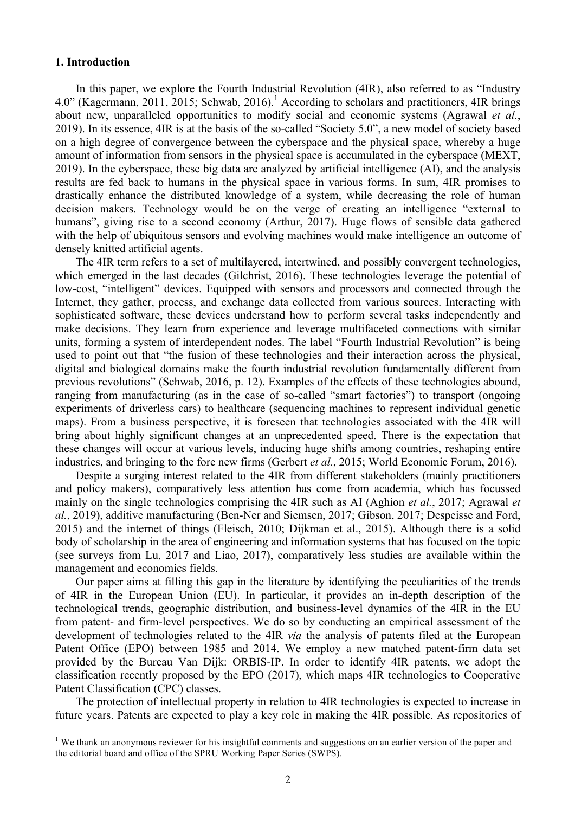#### **1. Introduction**

In this paper, we explore the Fourth Industrial Revolution (4IR), also referred to as "Industry 4.0" (Kagermann, 2011, 2015; Schwab, 2016).<sup>1</sup> According to scholars and practitioners, 4IR brings about new, unparalleled opportunities to modify social and economic systems (Agrawal *et al.*, 2019). In its essence, 4IR is at the basis of the so-called "Society 5.0", a new model of society based on a high degree of convergence between the cyberspace and the physical space, whereby a huge amount of information from sensors in the physical space is accumulated in the cyberspace (MEXT, 2019). In the cyberspace, these big data are analyzed by artificial intelligence (AI), and the analysis results are fed back to humans in the physical space in various forms. In sum, 4IR promises to drastically enhance the distributed knowledge of a system, while decreasing the role of human decision makers. Technology would be on the verge of creating an intelligence "external to humans", giving rise to a second economy (Arthur, 2017). Huge flows of sensible data gathered with the help of ubiquitous sensors and evolving machines would make intelligence an outcome of densely knitted artificial agents.

The 4IR term refers to a set of multilayered, intertwined, and possibly convergent technologies, which emerged in the last decades (Gilchrist, 2016). These technologies leverage the potential of low-cost, "intelligent" devices. Equipped with sensors and processors and connected through the Internet, they gather, process, and exchange data collected from various sources. Interacting with sophisticated software, these devices understand how to perform several tasks independently and make decisions. They learn from experience and leverage multifaceted connections with similar units, forming a system of interdependent nodes. The label "Fourth Industrial Revolution" is being used to point out that "the fusion of these technologies and their interaction across the physical, digital and biological domains make the fourth industrial revolution fundamentally different from previous revolutions" (Schwab, 2016, p. 12). Examples of the effects of these technologies abound, ranging from manufacturing (as in the case of so-called "smart factories") to transport (ongoing experiments of driverless cars) to healthcare (sequencing machines to represent individual genetic maps). From a business perspective, it is foreseen that technologies associated with the 4IR will bring about highly significant changes at an unprecedented speed. There is the expectation that these changes will occur at various levels, inducing huge shifts among countries, reshaping entire industries, and bringing to the fore new firms (Gerbert *et al.*, 2015; World Economic Forum, 2016).

Despite a surging interest related to the 4IR from different stakeholders (mainly practitioners and policy makers), comparatively less attention has come from academia, which has focussed mainly on the single technologies comprising the 4IR such as AI (Aghion *et al.*, 2017; Agrawal *et al.*, 2019), additive manufacturing (Ben-Ner and Siemsen, 2017; Gibson, 2017; Despeisse and Ford, 2015) and the internet of things (Fleisch, 2010; Dijkman et al., 2015). Although there is a solid body of scholarship in the area of engineering and information systems that has focused on the topic (see surveys from Lu, 2017 and Liao, 2017), comparatively less studies are available within the management and economics fields.

Our paper aims at filling this gap in the literature by identifying the peculiarities of the trends of 4IR in the European Union (EU). In particular, it provides an in-depth description of the technological trends, geographic distribution, and business-level dynamics of the 4IR in the EU from patent- and firm-level perspectives. We do so by conducting an empirical assessment of the development of technologies related to the 4IR *via* the analysis of patents filed at the European Patent Office (EPO) between 1985 and 2014. We employ a new matched patent-firm data set provided by the Bureau Van Dijk: ORBIS-IP. In order to identify 4IR patents, we adopt the classification recently proposed by the EPO (2017), which maps 4IR technologies to Cooperative Patent Classification (CPC) classes.

The protection of intellectual property in relation to 4IR technologies is expected to increase in future years. Patents are expected to play a key role in making the 4IR possible. As repositories of

<u> 1989 - Johann Barn, mars ann an t-Amhain an t-Amhain an t-Amhain an t-Amhain an t-Amhain an t-Amhain an t-Amh</u>

<sup>&</sup>lt;sup>1</sup> We thank an anonymous reviewer for his insightful comments and suggestions on an earlier version of the paper and the editorial board and office of the SPRU Working Paper Series (SWPS).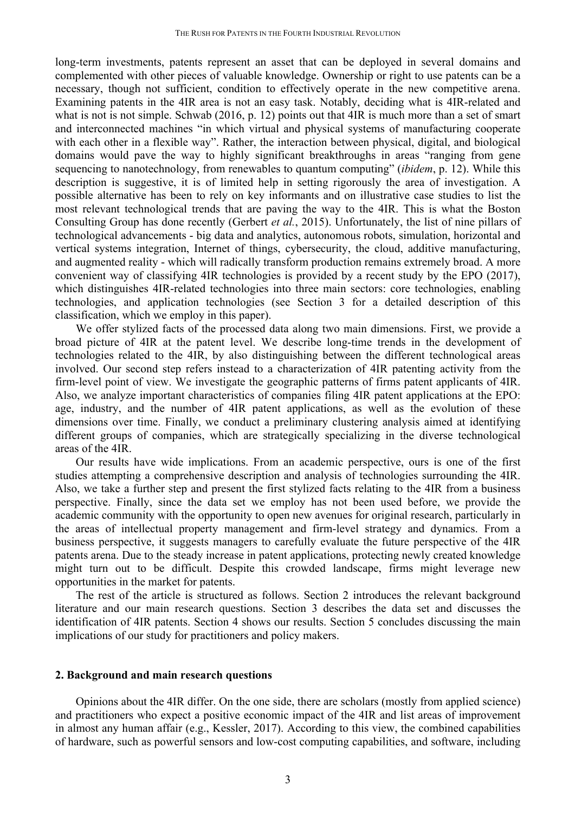long-term investments, patents represent an asset that can be deployed in several domains and complemented with other pieces of valuable knowledge. Ownership or right to use patents can be a necessary, though not sufficient, condition to effectively operate in the new competitive arena. Examining patents in the 4IR area is not an easy task. Notably, deciding what is 4IR-related and what is not is not simple. Schwab (2016, p. 12) points out that 4IR is much more than a set of smart and interconnected machines "in which virtual and physical systems of manufacturing cooperate with each other in a flexible way". Rather, the interaction between physical, digital, and biological domains would pave the way to highly significant breakthroughs in areas "ranging from gene sequencing to nanotechnology, from renewables to quantum computing" (*ibidem*, p. 12). While this description is suggestive, it is of limited help in setting rigorously the area of investigation. A possible alternative has been to rely on key informants and on illustrative case studies to list the most relevant technological trends that are paving the way to the 4IR. This is what the Boston Consulting Group has done recently (Gerbert *et al.*, 2015). Unfortunately, the list of nine pillars of technological advancements - big data and analytics, autonomous robots, simulation, horizontal and vertical systems integration, Internet of things, cybersecurity, the cloud, additive manufacturing, and augmented reality - which will radically transform production remains extremely broad. A more convenient way of classifying 4IR technologies is provided by a recent study by the EPO (2017), which distinguishes 4IR-related technologies into three main sectors: core technologies, enabling technologies, and application technologies (see Section 3 for a detailed description of this classification, which we employ in this paper).

We offer stylized facts of the processed data along two main dimensions. First, we provide a broad picture of 4IR at the patent level. We describe long-time trends in the development of technologies related to the 4IR, by also distinguishing between the different technological areas involved. Our second step refers instead to a characterization of 4IR patenting activity from the firm-level point of view. We investigate the geographic patterns of firms patent applicants of 4IR. Also, we analyze important characteristics of companies filing 4IR patent applications at the EPO: age, industry, and the number of 4IR patent applications, as well as the evolution of these dimensions over time. Finally, we conduct a preliminary clustering analysis aimed at identifying different groups of companies, which are strategically specializing in the diverse technological areas of the 4IR.

Our results have wide implications. From an academic perspective, ours is one of the first studies attempting a comprehensive description and analysis of technologies surrounding the 4IR. Also, we take a further step and present the first stylized facts relating to the 4IR from a business perspective. Finally, since the data set we employ has not been used before, we provide the academic community with the opportunity to open new avenues for original research, particularly in the areas of intellectual property management and firm-level strategy and dynamics. From a business perspective, it suggests managers to carefully evaluate the future perspective of the 4IR patents arena. Due to the steady increase in patent applications, protecting newly created knowledge might turn out to be difficult. Despite this crowded landscape, firms might leverage new opportunities in the market for patents.

The rest of the article is structured as follows. Section 2 introduces the relevant background literature and our main research questions. Section 3 describes the data set and discusses the identification of 4IR patents. Section 4 shows our results. Section 5 concludes discussing the main implications of our study for practitioners and policy makers.

#### **2. Background and main research questions**

Opinions about the 4IR differ. On the one side, there are scholars (mostly from applied science) and practitioners who expect a positive economic impact of the 4IR and list areas of improvement in almost any human affair (e.g., Kessler, 2017). According to this view, the combined capabilities of hardware, such as powerful sensors and low-cost computing capabilities, and software, including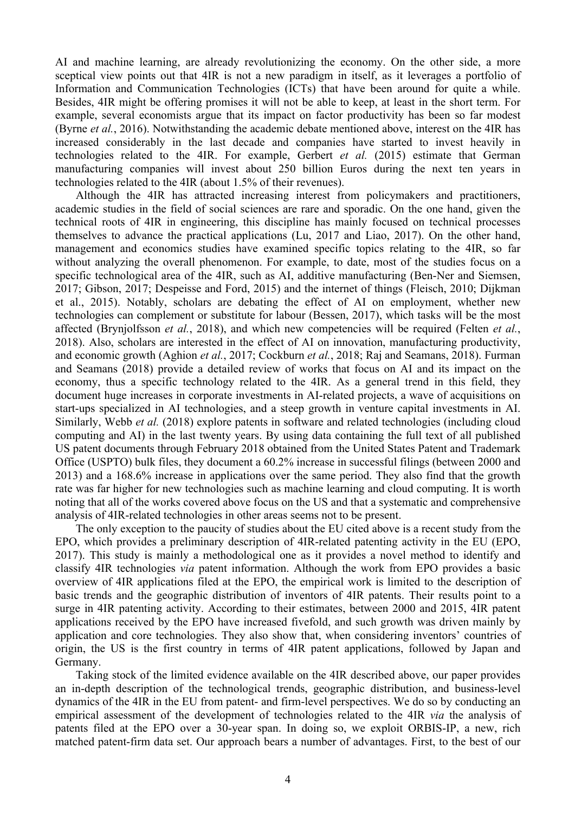AI and machine learning, are already revolutionizing the economy. On the other side, a more sceptical view points out that 4IR is not a new paradigm in itself, as it leverages a portfolio of Information and Communication Technologies (ICTs) that have been around for quite a while. Besides, 4IR might be offering promises it will not be able to keep, at least in the short term. For example, several economists argue that its impact on factor productivity has been so far modest (Byrne *et al.*, 2016). Notwithstanding the academic debate mentioned above, interest on the 4IR has increased considerably in the last decade and companies have started to invest heavily in technologies related to the 4IR. For example, Gerbert *et al.* (2015) estimate that German manufacturing companies will invest about 250 billion Euros during the next ten years in technologies related to the 4IR (about 1.5% of their revenues).

Although the 4IR has attracted increasing interest from policymakers and practitioners, academic studies in the field of social sciences are rare and sporadic. On the one hand, given the technical roots of 4IR in engineering, this discipline has mainly focused on technical processes themselves to advance the practical applications (Lu, 2017 and Liao, 2017). On the other hand, management and economics studies have examined specific topics relating to the 4IR, so far without analyzing the overall phenomenon. For example, to date, most of the studies focus on a specific technological area of the 4IR, such as AI, additive manufacturing (Ben-Ner and Siemsen, 2017; Gibson, 2017; Despeisse and Ford, 2015) and the internet of things (Fleisch, 2010; Dijkman et al., 2015). Notably, scholars are debating the effect of AI on employment, whether new technologies can complement or substitute for labour (Bessen, 2017), which tasks will be the most affected (Brynjolfsson *et al.*, 2018), and which new competencies will be required (Felten *et al.*, 2018). Also, scholars are interested in the effect of AI on innovation, manufacturing productivity, and economic growth (Aghion *et al.*, 2017; Cockburn *et al.*, 2018; Raj and Seamans, 2018). Furman and Seamans (2018) provide a detailed review of works that focus on AI and its impact on the economy, thus a specific technology related to the 4IR. As a general trend in this field, they document huge increases in corporate investments in AI-related projects, a wave of acquisitions on start-ups specialized in AI technologies, and a steep growth in venture capital investments in AI. Similarly, Webb *et al.* (2018) explore patents in software and related technologies (including cloud computing and AI) in the last twenty years. By using data containing the full text of all published US patent documents through February 2018 obtained from the United States Patent and Trademark Office (USPTO) bulk files, they document a 60.2% increase in successful filings (between 2000 and 2013) and a 168.6% increase in applications over the same period. They also find that the growth rate was far higher for new technologies such as machine learning and cloud computing. It is worth noting that all of the works covered above focus on the US and that a systematic and comprehensive analysis of 4IR-related technologies in other areas seems not to be present.

The only exception to the paucity of studies about the EU cited above is a recent study from the EPO, which provides a preliminary description of 4IR-related patenting activity in the EU (EPO, 2017). This study is mainly a methodological one as it provides a novel method to identify and classify 4IR technologies *via* patent information. Although the work from EPO provides a basic overview of 4IR applications filed at the EPO, the empirical work is limited to the description of basic trends and the geographic distribution of inventors of 4IR patents. Their results point to a surge in 4IR patenting activity. According to their estimates, between 2000 and 2015, 4IR patent applications received by the EPO have increased fivefold, and such growth was driven mainly by application and core technologies. They also show that, when considering inventors' countries of origin, the US is the first country in terms of 4IR patent applications, followed by Japan and Germany.

Taking stock of the limited evidence available on the 4IR described above, our paper provides an in-depth description of the technological trends, geographic distribution, and business-level dynamics of the 4IR in the EU from patent- and firm-level perspectives. We do so by conducting an empirical assessment of the development of technologies related to the 4IR *via* the analysis of patents filed at the EPO over a 30-year span. In doing so, we exploit ORBIS-IP, a new, rich matched patent-firm data set. Our approach bears a number of advantages. First, to the best of our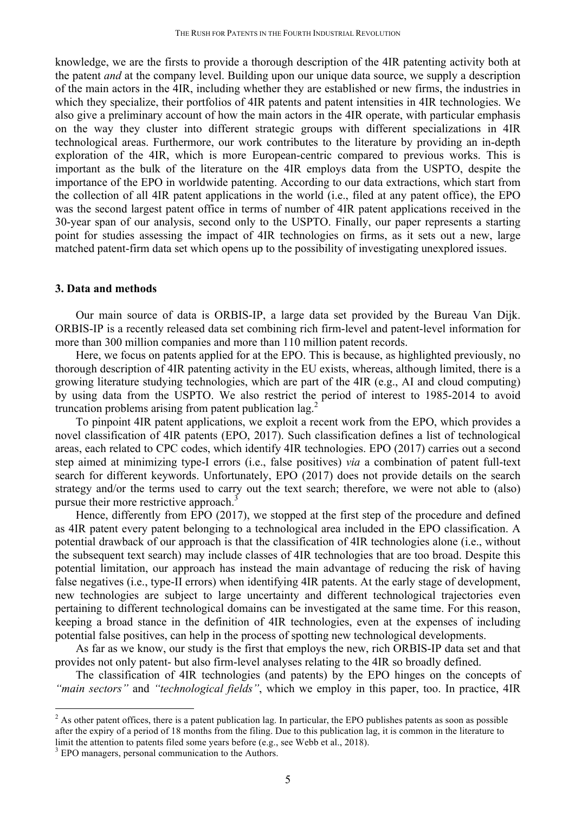knowledge, we are the firsts to provide a thorough description of the 4IR patenting activity both at the patent *and* at the company level. Building upon our unique data source, we supply a description of the main actors in the 4IR, including whether they are established or new firms, the industries in which they specialize, their portfolios of 4IR patents and patent intensities in 4IR technologies. We also give a preliminary account of how the main actors in the 4IR operate, with particular emphasis on the way they cluster into different strategic groups with different specializations in 4IR technological areas. Furthermore, our work contributes to the literature by providing an in-depth exploration of the 4IR, which is more European-centric compared to previous works. This is important as the bulk of the literature on the 4IR employs data from the USPTO, despite the importance of the EPO in worldwide patenting. According to our data extractions, which start from the collection of all 4IR patent applications in the world (i.e., filed at any patent office), the EPO was the second largest patent office in terms of number of 4IR patent applications received in the 30-year span of our analysis, second only to the USPTO. Finally, our paper represents a starting point for studies assessing the impact of 4IR technologies on firms, as it sets out a new, large matched patent-firm data set which opens up to the possibility of investigating unexplored issues.

#### **3. Data and methods**

Our main source of data is ORBIS-IP, a large data set provided by the Bureau Van Dijk. ORBIS-IP is a recently released data set combining rich firm-level and patent-level information for more than 300 million companies and more than 110 million patent records.

Here, we focus on patents applied for at the EPO. This is because, as highlighted previously, no thorough description of 4IR patenting activity in the EU exists, whereas, although limited, there is a growing literature studying technologies, which are part of the 4IR (e.g., AI and cloud computing) by using data from the USPTO. We also restrict the period of interest to 1985-2014 to avoid truncation problems arising from patent publication lag.<sup>2</sup>

To pinpoint 4IR patent applications, we exploit a recent work from the EPO, which provides a novel classification of 4IR patents (EPO, 2017). Such classification defines a list of technological areas, each related to CPC codes, which identify 4IR technologies. EPO (2017) carries out a second step aimed at minimizing type-I errors (i.e., false positives) *via* a combination of patent full-text search for different keywords. Unfortunately, EPO (2017) does not provide details on the search strategy and/or the terms used to carry out the text search; therefore, we were not able to (also) pursue their more restrictive approach.<sup>3</sup>

Hence, differently from EPO (2017), we stopped at the first step of the procedure and defined as 4IR patent every patent belonging to a technological area included in the EPO classification. A potential drawback of our approach is that the classification of 4IR technologies alone (i.e., without the subsequent text search) may include classes of 4IR technologies that are too broad. Despite this potential limitation, our approach has instead the main advantage of reducing the risk of having false negatives (i.e., type-II errors) when identifying 4IR patents. At the early stage of development, new technologies are subject to large uncertainty and different technological trajectories even pertaining to different technological domains can be investigated at the same time. For this reason, keeping a broad stance in the definition of 4IR technologies, even at the expenses of including potential false positives, can help in the process of spotting new technological developments.

As far as we know, our study is the first that employs the new, rich ORBIS-IP data set and that provides not only patent- but also firm-level analyses relating to the 4IR so broadly defined.

The classification of 4IR technologies (and patents) by the EPO hinges on the concepts of *"main sectors"* and *"technological fields"*, which we employ in this paper, too. In practice, 4IR

<u> 1989 - Johann Barn, mars ann an t-Amhain an t-Amhain an t-Amhain an t-Amhain an t-Amhain an t-Amhain an t-Amh</u>

 $2$  As other patent offices, there is a patent publication lag. In particular, the EPO publishes patents as soon as possible after the expiry of a period of 18 months from the filing. Due to this publication lag, it is common in the literature to limit the attention to patents filed some years before (e.g., see Webb et al., 2018).  $3$  EPO managers, personal communication to the Authors.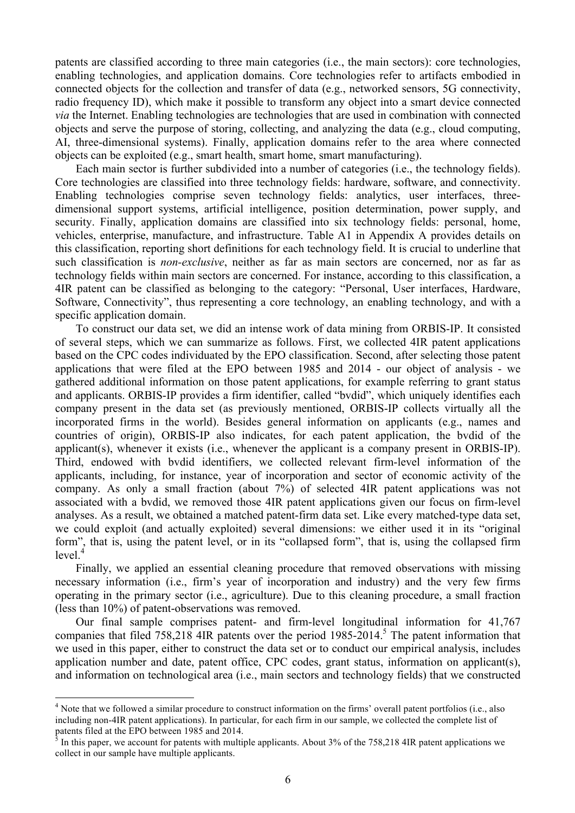patents are classified according to three main categories (i.e., the main sectors): core technologies, enabling technologies, and application domains. Core technologies refer to artifacts embodied in connected objects for the collection and transfer of data (e.g., networked sensors, 5G connectivity, radio frequency ID), which make it possible to transform any object into a smart device connected *via* the Internet. Enabling technologies are technologies that are used in combination with connected objects and serve the purpose of storing, collecting, and analyzing the data (e.g., cloud computing, AI, three-dimensional systems). Finally, application domains refer to the area where connected objects can be exploited (e.g., smart health, smart home, smart manufacturing).

Each main sector is further subdivided into a number of categories (i.e., the technology fields). Core technologies are classified into three technology fields: hardware, software, and connectivity. Enabling technologies comprise seven technology fields: analytics, user interfaces, threedimensional support systems, artificial intelligence, position determination, power supply, and security. Finally, application domains are classified into six technology fields: personal, home, vehicles, enterprise, manufacture, and infrastructure. Table A1 in Appendix A provides details on this classification, reporting short definitions for each technology field. It is crucial to underline that such classification is *non-exclusive*, neither as far as main sectors are concerned, nor as far as technology fields within main sectors are concerned. For instance, according to this classification, a 4IR patent can be classified as belonging to the category: "Personal, User interfaces, Hardware, Software, Connectivity", thus representing a core technology, an enabling technology, and with a specific application domain.

To construct our data set, we did an intense work of data mining from ORBIS-IP. It consisted of several steps, which we can summarize as follows. First, we collected 4IR patent applications based on the CPC codes individuated by the EPO classification. Second, after selecting those patent applications that were filed at the EPO between 1985 and 2014 - our object of analysis - we gathered additional information on those patent applications, for example referring to grant status and applicants. ORBIS-IP provides a firm identifier, called "bvdid", which uniquely identifies each company present in the data set (as previously mentioned, ORBIS-IP collects virtually all the incorporated firms in the world). Besides general information on applicants (e.g., names and countries of origin), ORBIS-IP also indicates, for each patent application, the bvdid of the applicant(s), whenever it exists (i.e., whenever the applicant is a company present in ORBIS-IP). Third, endowed with bvdid identifiers, we collected relevant firm-level information of the applicants, including, for instance, year of incorporation and sector of economic activity of the company. As only a small fraction (about 7%) of selected 4IR patent applications was not associated with a bvdid, we removed those 4IR patent applications given our focus on firm-level analyses. As a result, we obtained a matched patent-firm data set. Like every matched-type data set, we could exploit (and actually exploited) several dimensions: we either used it in its "original form", that is, using the patent level, or in its "collapsed form", that is, using the collapsed firm  $level<sup>4</sup>$ 

Finally, we applied an essential cleaning procedure that removed observations with missing necessary information (i.e., firm's year of incorporation and industry) and the very few firms operating in the primary sector (i.e., agriculture). Due to this cleaning procedure, a small fraction (less than 10%) of patent-observations was removed.

Our final sample comprises patent- and firm-level longitudinal information for 41,767 companies that filed  $758,218$  4IR patents over the period  $1985-2014$ .<sup>5</sup> The patent information that we used in this paper, either to construct the data set or to conduct our empirical analysis, includes application number and date, patent office, CPC codes, grant status, information on applicant(s), and information on technological area (i.e., main sectors and technology fields) that we constructed

 

<sup>&</sup>lt;sup>4</sup> Note that we followed a similar procedure to construct information on the firms' overall patent portfolios (i.e., also including non-4IR patent applications). In particular, for each firm in our sample, we collected the complete list of patents filed at the EPO between 1985 and 2014.

 $\frac{5}{3}$  In this paper, we account for patents with multiple applicants. About 3% of the 758,218 4IR patent applications we collect in our sample have multiple applicants.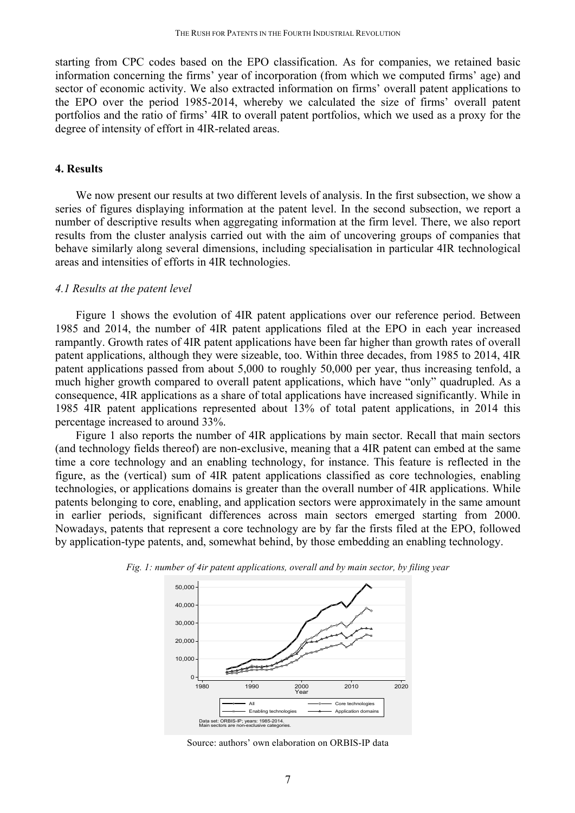starting from CPC codes based on the EPO classification. As for companies, we retained basic information concerning the firms' year of incorporation (from which we computed firms' age) and sector of economic activity. We also extracted information on firms' overall patent applications to the EPO over the period 1985-2014, whereby we calculated the size of firms' overall patent portfolios and the ratio of firms' 4IR to overall patent portfolios, which we used as a proxy for the degree of intensity of effort in 4IR-related areas.

#### **4. Results**

We now present our results at two different levels of analysis. In the first subsection, we show a series of figures displaying information at the patent level. In the second subsection, we report a number of descriptive results when aggregating information at the firm level. There, we also report results from the cluster analysis carried out with the aim of uncovering groups of companies that behave similarly along several dimensions, including specialisation in particular 4IR technological areas and intensities of efforts in 4IR technologies.

#### *4.1 Results at the patent level*

Figure 1 shows the evolution of 4IR patent applications over our reference period. Between 1985 and 2014, the number of 4IR patent applications filed at the EPO in each year increased rampantly. Growth rates of 4IR patent applications have been far higher than growth rates of overall patent applications, although they were sizeable, too. Within three decades, from 1985 to 2014, 4IR patent applications passed from about 5,000 to roughly 50,000 per year, thus increasing tenfold, a much higher growth compared to overall patent applications, which have "only" quadrupled. As a consequence, 4IR applications as a share of total applications have increased significantly. While in 1985 4IR patent applications represented about 13% of total patent applications, in 2014 this percentage increased to around 33%.

Figure 1 also reports the number of 4IR applications by main sector. Recall that main sectors (and technology fields thereof) are non-exclusive, meaning that a 4IR patent can embed at the same time a core technology and an enabling technology, for instance. This feature is reflected in the figure, as the (vertical) sum of 4IR patent applications classified as core technologies, enabling technologies, or applications domains is greater than the overall number of 4IR applications. While patents belonging to core, enabling, and application sectors were approximately in the same amount in earlier periods, significant differences across main sectors emerged starting from 2000. Nowadays, patents that represent a core technology are by far the firsts filed at the EPO, followed by application-type patents, and, somewhat behind, by those embedding an enabling technology.



*Fig. 1: number of 4ir patent applications, overall and by main sector, by filing year*

Source: authors' own elaboration on ORBIS-IP data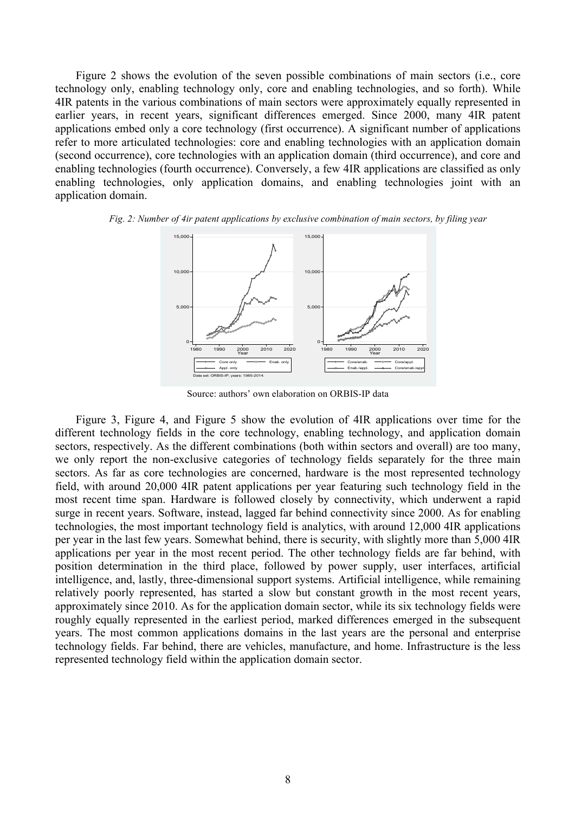Figure 2 shows the evolution of the seven possible combinations of main sectors (i.e., core technology only, enabling technology only, core and enabling technologies, and so forth). While 4IR patents in the various combinations of main sectors were approximately equally represented in earlier years, in recent years, significant differences emerged. Since 2000, many 4IR patent applications embed only a core technology (first occurrence). A significant number of applications refer to more articulated technologies: core and enabling technologies with an application domain (second occurrence), core technologies with an application domain (third occurrence), and core and enabling technologies (fourth occurrence). Conversely, a few 4IR applications are classified as only enabling technologies, only application domains, and enabling technologies joint with an application domain.





Source: authors' own elaboration on ORBIS-IP data

Figure 3, Figure 4, and Figure 5 show the evolution of 4IR applications over time for the different technology fields in the core technology, enabling technology, and application domain sectors, respectively. As the different combinations (both within sectors and overall) are too many, we only report the non-exclusive categories of technology fields separately for the three main sectors. As far as core technologies are concerned, hardware is the most represented technology field, with around 20,000 4IR patent applications per year featuring such technology field in the most recent time span. Hardware is followed closely by connectivity, which underwent a rapid surge in recent years. Software, instead, lagged far behind connectivity since 2000. As for enabling technologies, the most important technology field is analytics, with around 12,000 4IR applications per year in the last few years. Somewhat behind, there is security, with slightly more than 5,000 4IR applications per year in the most recent period. The other technology fields are far behind, with position determination in the third place, followed by power supply, user interfaces, artificial intelligence, and, lastly, three-dimensional support systems. Artificial intelligence, while remaining relatively poorly represented, has started a slow but constant growth in the most recent years, approximately since 2010. As for the application domain sector, while its six technology fields were roughly equally represented in the earliest period, marked differences emerged in the subsequent years. The most common applications domains in the last years are the personal and enterprise technology fields. Far behind, there are vehicles, manufacture, and home. Infrastructure is the less represented technology field within the application domain sector.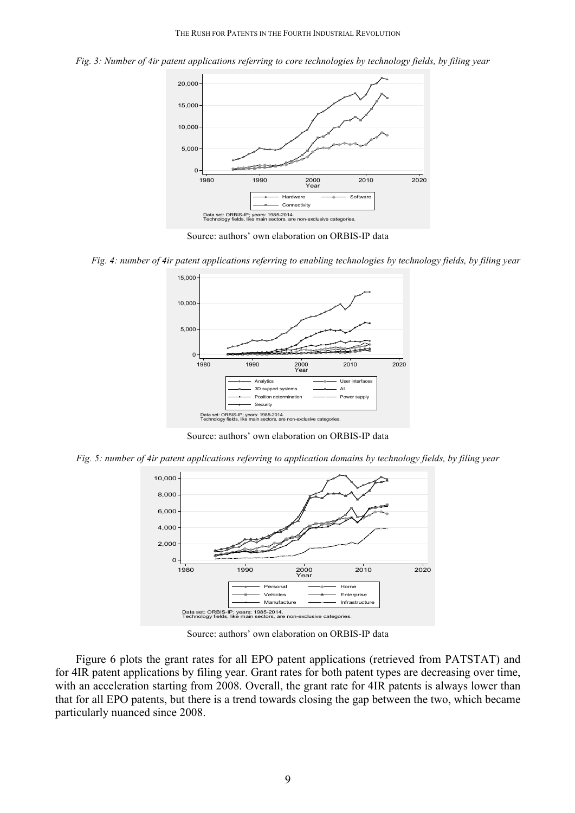*Fig. 3: Number of 4ir patent applications referring to core technologies by technology fields, by filing year*



Source: authors' own elaboration on ORBIS-IP data

*Fig. 4: number of 4ir patent applications referring to enabling technologies by technology fields, by filing year*



Source: authors' own elaboration on ORBIS-IP data

*Fig. 5: number of 4ir patent applications referring to application domains by technology fields, by filing year*



Source: authors' own elaboration on ORBIS-IP data

Figure 6 plots the grant rates for all EPO patent applications (retrieved from PATSTAT) and for 4IR patent applications by filing year. Grant rates for both patent types are decreasing over time, with an acceleration starting from 2008. Overall, the grant rate for 4IR patents is always lower than that for all EPO patents, but there is a trend towards closing the gap between the two, which became particularly nuanced since 2008.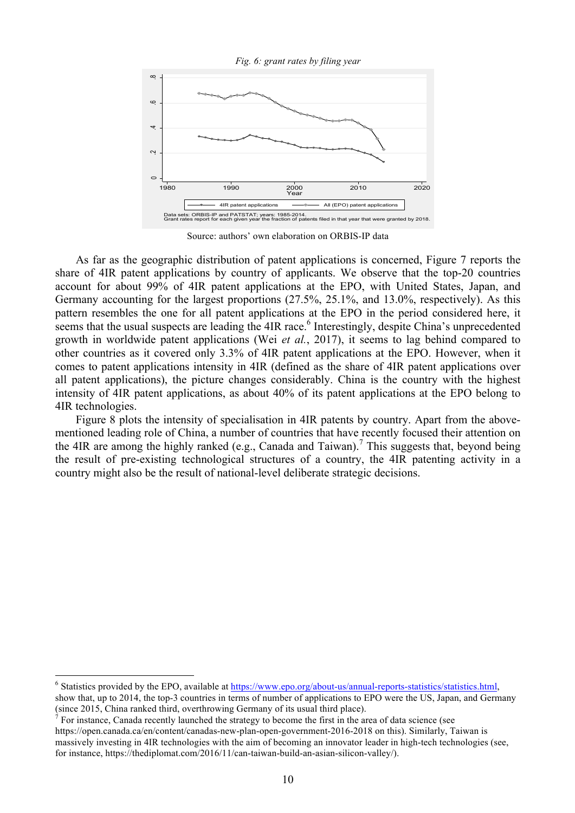

Source: authors' own elaboration on ORBIS-IP data

As far as the geographic distribution of patent applications is concerned, Figure 7 reports the share of 4IR patent applications by country of applicants. We observe that the top-20 countries account for about 99% of 4IR patent applications at the EPO, with United States, Japan, and Germany accounting for the largest proportions (27.5%, 25.1%, and 13.0%, respectively). As this pattern resembles the one for all patent applications at the EPO in the period considered here, it seems that the usual suspects are leading the 4IR race.<sup>6</sup> Interestingly, despite China's unprecedented growth in worldwide patent applications (Wei *et al.*, 2017), it seems to lag behind compared to other countries as it covered only 3.3% of 4IR patent applications at the EPO. However, when it comes to patent applications intensity in 4IR (defined as the share of 4IR patent applications over all patent applications), the picture changes considerably. China is the country with the highest intensity of 4IR patent applications, as about 40% of its patent applications at the EPO belong to 4IR technologies.

Figure 8 plots the intensity of specialisation in 4IR patents by country. Apart from the abovementioned leading role of China, a number of countries that have recently focused their attention on the 4IR are among the highly ranked (e.g., Canada and Taiwan).<sup>7</sup> This suggests that, beyond being the result of pre-existing technological structures of a country, the 4IR patenting activity in a country might also be the result of national-level deliberate strategic decisions.

<u> 1989 - Johann Barn, mars ann an t-Amhain an t-Amhain an t-Amhain an t-Amhain an t-Amhain an t-Amhain an t-Amh</u>

<sup>&</sup>lt;sup>6</sup> Statistics provided by the EPO, available at https://www.epo.org/about-us/annual-reports-statistics/statistics.html, show that, up to 2014, the top-3 countries in terms of number of applications to EPO were the US, Japan, and Germany (since 2015, China ranked third, overthrowing Germany of its usual third place).

<sup>&</sup>lt;sup>7</sup> For instance, Canada recently launched the strategy to become the first in the area of data science (see https://open.canada.ca/en/content/canadas-new-plan-open-government-2016-2018 on this). Similarly, Taiwan is massively investing in 4IR technologies with the aim of becoming an innovator leader in high-tech technologies (see, for instance, https://thediplomat.com/2016/11/can-taiwan-build-an-asian-silicon-valley/).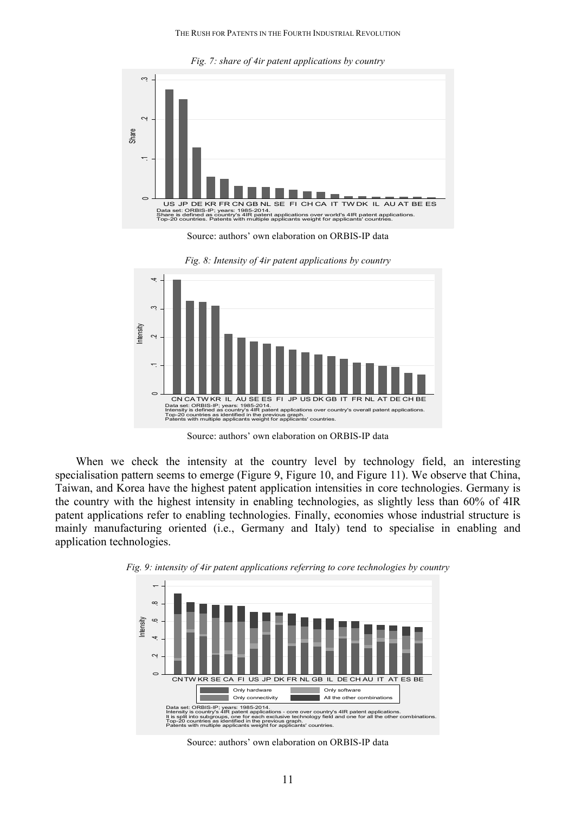



Source: authors' own elaboration on ORBIS-IP data



*Fig. 8: Intensity of 4ir patent applications by country*

When we check the intensity at the country level by technology field, an interesting specialisation pattern seems to emerge (Figure 9, Figure 10, and Figure 11). We observe that China, Taiwan, and Korea have the highest patent application intensities in core technologies. Germany is the country with the highest intensity in enabling technologies, as slightly less than 60% of 4IR patent applications refer to enabling technologies. Finally, economies whose industrial structure is mainly manufacturing oriented (i.e., Germany and Italy) tend to specialise in enabling and application technologies.



*Fig. 9: intensity of 4ir patent applications referring to core technologies by country*

Source: authors' own elaboration on ORBIS-IP data

Source: authors' own elaboration on ORBIS-IP data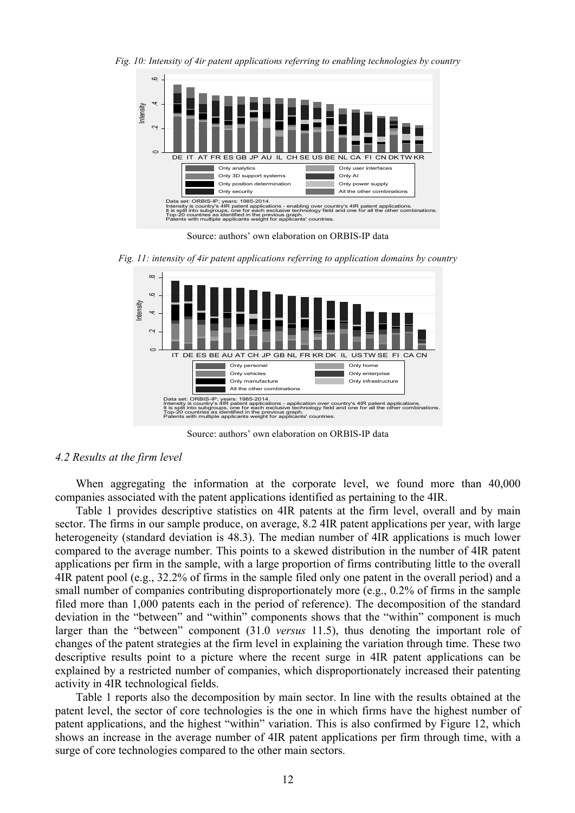



Source: authors' own elaboration on ORBIS-IP data





Source: authors' own elaboration on ORBIS-IP data

#### *4.2 Results at the firm level*

When aggregating the information at the corporate level, we found more than 40,000 companies associated with the patent applications identified as pertaining to the 4IR.

Table 1 provides descriptive statistics on 4IR patents at the firm level, overall and by main sector. The firms in our sample produce, on average, 8.2 4IR patent applications per year, with large heterogeneity (standard deviation is 48.3). The median number of 4IR applications is much lower compared to the average number. This points to a skewed distribution in the number of 4IR patent applications per firm in the sample, with a large proportion of firms contributing little to the overall 4IR patent pool (e.g., 32.2% of firms in the sample filed only one patent in the overall period) and a small number of companies contributing disproportionately more (e.g., 0.2% of firms in the sample filed more than 1,000 patents each in the period of reference). The decomposition of the standard deviation in the "between" and "within" components shows that the "within" component is much larger than the "between" component (31.0 *versus* 11.5), thus denoting the important role of changes of the patent strategies at the firm level in explaining the variation through time. These two descriptive results point to a picture where the recent surge in 4IR patent applications can be explained by a restricted number of companies, which disproportionately increased their patenting activity in 4IR technological fields.

Table 1 reports also the decomposition by main sector. In line with the results obtained at the patent level, the sector of core technologies is the one in which firms have the highest number of patent applications, and the highest "within" variation. This is also confirmed by Figure 12, which shows an increase in the average number of 4IR patent applications per firm through time, with a surge of core technologies compared to the other main sectors.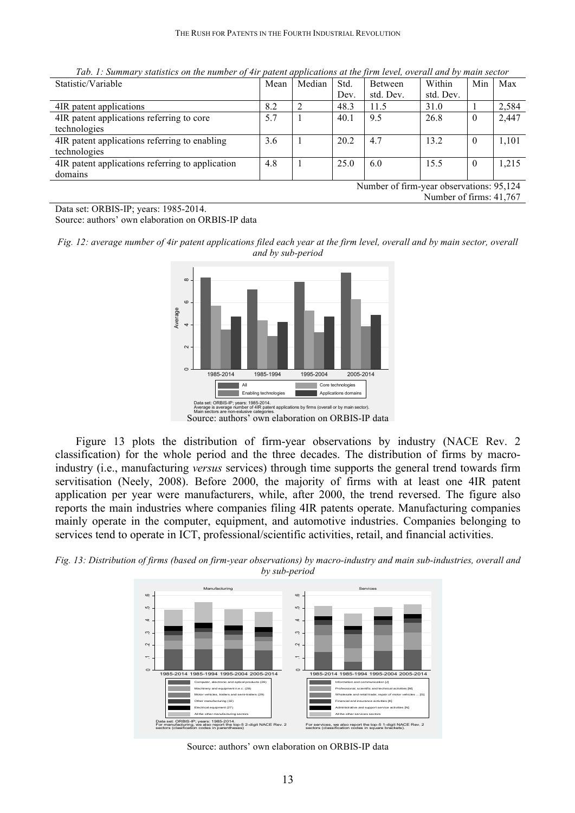| Tub. T. Summury statistics on the number of 4tr putent applications at the firm tevel, overall and by main sector |      |        |      |                                          |                         |          |       |
|-------------------------------------------------------------------------------------------------------------------|------|--------|------|------------------------------------------|-------------------------|----------|-------|
| Statistic/Variable                                                                                                | Mean | Median | Std. | Between                                  | Within                  | Min      | Max   |
|                                                                                                                   |      |        | Dev. | std. Dev.                                | std. Dev.               |          |       |
| 4IR patent applications                                                                                           | 8.2  |        | 48.3 | 11.5                                     | 31.0                    |          | 2,584 |
| 4IR patent applications referring to core                                                                         | 5.7  |        | 40.1 | 9.5                                      | 26.8                    | $\theta$ | 2,447 |
| technologies                                                                                                      |      |        |      |                                          |                         |          |       |
| 4IR patent applications referring to enabling                                                                     | 3.6  |        | 20.2 | 4.7                                      | 13.2                    | $\theta$ | 1,101 |
| technologies                                                                                                      |      |        |      |                                          |                         |          |       |
| 4IR patent applications referring to application                                                                  | 4.8  |        | 25.0 | 6.0                                      | 15.5                    | $\theta$ | 1,215 |
| domains                                                                                                           |      |        |      |                                          |                         |          |       |
|                                                                                                                   |      |        |      | Number of firm-year observations: 95,124 |                         |          |       |
|                                                                                                                   |      |        |      |                                          | Number of firms: 41,767 |          |       |

*Tab. 1: Summary statistics on the number of 4ir patent applications at the firm level, overall and by main sector*

Data set: ORBIS-IP; years: 1985-2014.

Source: authors' own elaboration on ORBIS-IP data

*Fig. 12: average number of 4ir patent applications filed each year at the firm level, overall and by main sector, overall and by sub-period*



Figure 13 plots the distribution of firm-year observations by industry (NACE Rev. 2 classification) for the whole period and the three decades. The distribution of firms by macroindustry (i.e., manufacturing *versus* services) through time supports the general trend towards firm servitisation (Neely, 2008). Before 2000, the majority of firms with at least one 4IR patent application per year were manufacturers, while, after 2000, the trend reversed. The figure also reports the main industries where companies filing 4IR patents operate. Manufacturing companies mainly operate in the computer, equipment, and automotive industries. Companies belonging to services tend to operate in ICT, professional/scientific activities, retail, and financial activities.

*Fig. 13: Distribution of firms (based on firm-year observations) by macro-industry and main sub-industries, overall and by sub-period*



Source: authors' own elaboration on ORBIS-IP data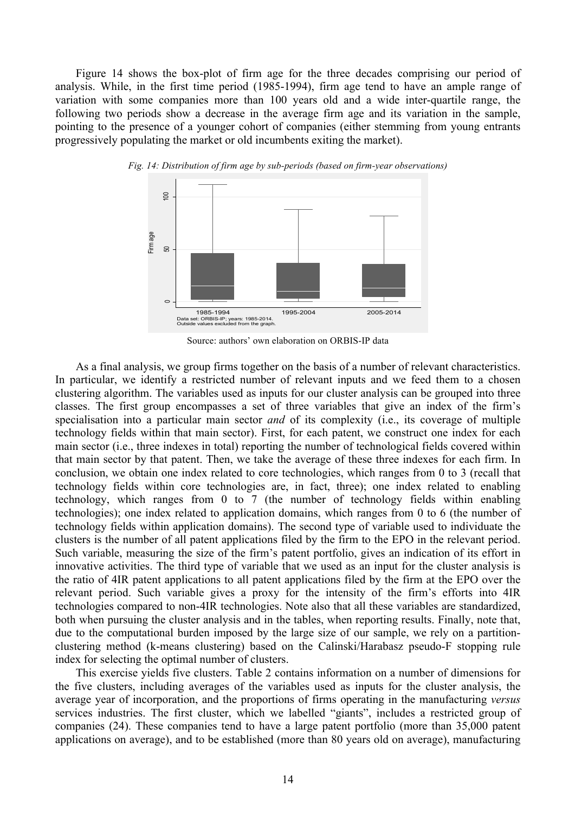Figure 14 shows the box-plot of firm age for the three decades comprising our period of analysis. While, in the first time period (1985-1994), firm age tend to have an ample range of variation with some companies more than 100 years old and a wide inter-quartile range, the following two periods show a decrease in the average firm age and its variation in the sample, pointing to the presence of a younger cohort of companies (either stemming from young entrants progressively populating the market or old incumbents exiting the market).



*Fig. 14: Distribution of firm age by sub-periods (based on firm-year observations)*

Source: authors' own elaboration on ORBIS-IP data

As a final analysis, we group firms together on the basis of a number of relevant characteristics. In particular, we identify a restricted number of relevant inputs and we feed them to a chosen clustering algorithm. The variables used as inputs for our cluster analysis can be grouped into three classes. The first group encompasses a set of three variables that give an index of the firm's specialisation into a particular main sector *and* of its complexity (i.e., its coverage of multiple technology fields within that main sector). First, for each patent, we construct one index for each main sector (i.e., three indexes in total) reporting the number of technological fields covered within that main sector by that patent. Then, we take the average of these three indexes for each firm. In conclusion, we obtain one index related to core technologies, which ranges from 0 to 3 (recall that technology fields within core technologies are, in fact, three); one index related to enabling technology, which ranges from 0 to 7 (the number of technology fields within enabling technologies); one index related to application domains, which ranges from 0 to 6 (the number of technology fields within application domains). The second type of variable used to individuate the clusters is the number of all patent applications filed by the firm to the EPO in the relevant period. Such variable, measuring the size of the firm's patent portfolio, gives an indication of its effort in innovative activities. The third type of variable that we used as an input for the cluster analysis is the ratio of 4IR patent applications to all patent applications filed by the firm at the EPO over the relevant period. Such variable gives a proxy for the intensity of the firm's efforts into 4IR technologies compared to non-4IR technologies. Note also that all these variables are standardized, both when pursuing the cluster analysis and in the tables, when reporting results. Finally, note that, due to the computational burden imposed by the large size of our sample, we rely on a partitionclustering method (k-means clustering) based on the Calinski/Harabasz pseudo-F stopping rule index for selecting the optimal number of clusters.

This exercise yields five clusters. Table 2 contains information on a number of dimensions for the five clusters, including averages of the variables used as inputs for the cluster analysis, the average year of incorporation, and the proportions of firms operating in the manufacturing *versus* services industries. The first cluster, which we labelled "giants", includes a restricted group of companies (24). These companies tend to have a large patent portfolio (more than 35,000 patent applications on average), and to be established (more than 80 years old on average), manufacturing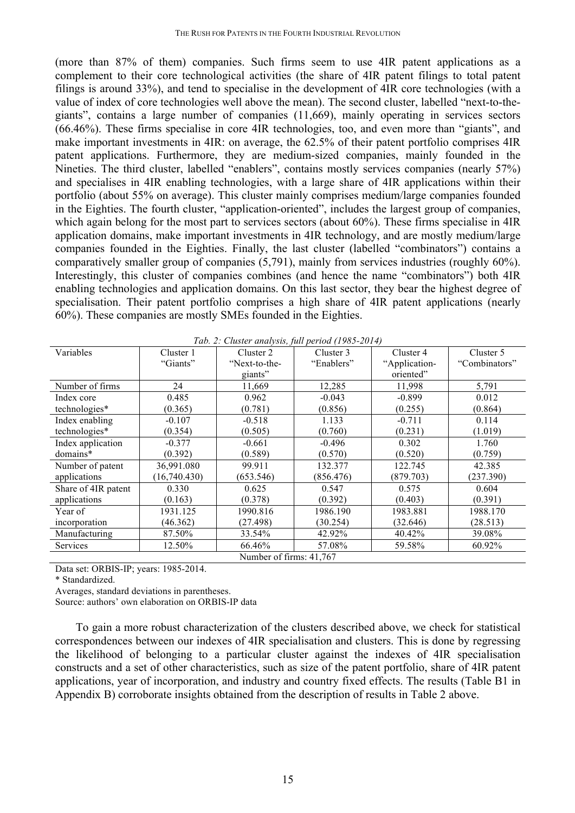(more than 87% of them) companies. Such firms seem to use 4IR patent applications as a complement to their core technological activities (the share of 4IR patent filings to total patent filings is around 33%), and tend to specialise in the development of 4IR core technologies (with a value of index of core technologies well above the mean). The second cluster, labelled "next-to-thegiants", contains a large number of companies (11,669), mainly operating in services sectors (66.46%). These firms specialise in core 4IR technologies, too, and even more than "giants", and make important investments in 4IR: on average, the 62.5% of their patent portfolio comprises 4IR patent applications. Furthermore, they are medium-sized companies, mainly founded in the Nineties. The third cluster, labelled "enablers", contains mostly services companies (nearly 57%) and specialises in 4IR enabling technologies, with a large share of 4IR applications within their portfolio (about 55% on average). This cluster mainly comprises medium/large companies founded in the Eighties. The fourth cluster, "application-oriented", includes the largest group of companies, which again belong for the most part to services sectors (about 60%). These firms specialise in 4IR application domains, make important investments in 4IR technology, and are mostly medium/large companies founded in the Eighties. Finally, the last cluster (labelled "combinators") contains a comparatively smaller group of companies (5,791), mainly from services industries (roughly 60%). Interestingly, this cluster of companies combines (and hence the name "combinators") both 4IR enabling technologies and application domains. On this last sector, they bear the highest degree of specialisation. Their patent portfolio comprises a high share of 4IR patent applications (nearly 60%). These companies are mostly SMEs founded in the Eighties.

| $100.2.$ Choster analysis, fail period (1909–2014) |              |               |            |               |               |  |  |
|----------------------------------------------------|--------------|---------------|------------|---------------|---------------|--|--|
| Variables                                          | Cluster 1    | Cluster 2     | Cluster 3  | Cluster 4     | Cluster 5     |  |  |
|                                                    | "Giants"     | "Next-to-the- | "Enablers" | "Application- | "Combinators" |  |  |
|                                                    |              | giants"       |            | oriented"     |               |  |  |
| Number of firms                                    | 24           | 11,669        | 12,285     | 11,998        | 5,791         |  |  |
| Index core                                         | 0.485        | 0.962         | $-0.043$   | $-0.899$      | 0.012         |  |  |
| technologies*                                      | (0.365)      | (0.781)       | (0.856)    | (0.255)       | (0.864)       |  |  |
| Index enabling                                     | $-0.107$     | $-0.518$      | 1.133      | $-0.711$      | 0.114         |  |  |
| technologies*                                      | (0.354)      | (0.505)       | (0.760)    | (0.231)       | (1.019)       |  |  |
| Index application                                  | $-0.377$     | $-0.661$      | $-0.496$   | 0.302         | 1.760         |  |  |
| domains*                                           | (0.392)      | (0.589)       | (0.570)    | (0.520)       | (0.759)       |  |  |
| Number of patent                                   | 36,991.080   | 99.911        | 132.377    | 122.745       | 42.385        |  |  |
| applications                                       | (16,740.430) | (653.546)     | (856.476)  | (879.703)     | (237.390)     |  |  |
| Share of 4IR patent                                | 0.330        | 0.625         | 0.547      | 0.575         | 0.604         |  |  |
| applications                                       | (0.163)      | (0.378)       | (0.392)    | (0.403)       | (0.391)       |  |  |
| Year of                                            | 1931.125     | 1990.816      | 1986.190   | 1983.881      | 1988.170      |  |  |
| incorporation                                      | (46.362)     | (27.498)      | (30.254)   | (32.646)      | (28.513)      |  |  |
| Manufacturing                                      | 87.50%       | 33.54%        | 42.92%     | 40.42%        | 39.08%        |  |  |
| Services                                           | 12.50%       | 66.46%        | 57.08%     | 59.58%        | 60.92%        |  |  |
| Number of firms: 41,767                            |              |               |            |               |               |  |  |

|  |  |  |  |  | Tab. 2: Cluster analysis, full period (1985-2014) |
|--|--|--|--|--|---------------------------------------------------|
|--|--|--|--|--|---------------------------------------------------|

Data set: ORBIS-IP; years: 1985-2014.

\* Standardized.

Averages, standard deviations in parentheses.

Source: authors' own elaboration on ORBIS-IP data

To gain a more robust characterization of the clusters described above, we check for statistical correspondences between our indexes of 4IR specialisation and clusters. This is done by regressing the likelihood of belonging to a particular cluster against the indexes of 4IR specialisation constructs and a set of other characteristics, such as size of the patent portfolio, share of 4IR patent applications, year of incorporation, and industry and country fixed effects. The results (Table B1 in Appendix B) corroborate insights obtained from the description of results in Table 2 above.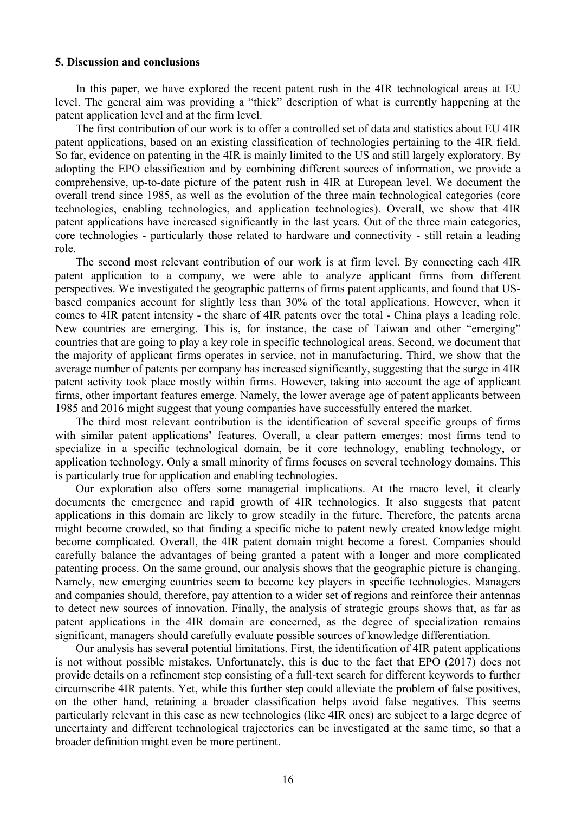#### **5. Discussion and conclusions**

In this paper, we have explored the recent patent rush in the 4IR technological areas at EU level. The general aim was providing a "thick" description of what is currently happening at the patent application level and at the firm level.

The first contribution of our work is to offer a controlled set of data and statistics about EU 4IR patent applications, based on an existing classification of technologies pertaining to the 4IR field. So far, evidence on patenting in the 4IR is mainly limited to the US and still largely exploratory. By adopting the EPO classification and by combining different sources of information, we provide a comprehensive, up-to-date picture of the patent rush in 4IR at European level. We document the overall trend since 1985, as well as the evolution of the three main technological categories (core technologies, enabling technologies, and application technologies). Overall, we show that 4IR patent applications have increased significantly in the last years. Out of the three main categories, core technologies - particularly those related to hardware and connectivity - still retain a leading role.

The second most relevant contribution of our work is at firm level. By connecting each 4IR patent application to a company, we were able to analyze applicant firms from different perspectives. We investigated the geographic patterns of firms patent applicants, and found that USbased companies account for slightly less than 30% of the total applications. However, when it comes to 4IR patent intensity - the share of 4IR patents over the total - China plays a leading role. New countries are emerging. This is, for instance, the case of Taiwan and other "emerging" countries that are going to play a key role in specific technological areas. Second, we document that the majority of applicant firms operates in service, not in manufacturing. Third, we show that the average number of patents per company has increased significantly, suggesting that the surge in 4IR patent activity took place mostly within firms. However, taking into account the age of applicant firms, other important features emerge. Namely, the lower average age of patent applicants between 1985 and 2016 might suggest that young companies have successfully entered the market.

The third most relevant contribution is the identification of several specific groups of firms with similar patent applications' features. Overall, a clear pattern emerges: most firms tend to specialize in a specific technological domain, be it core technology, enabling technology, or application technology. Only a small minority of firms focuses on several technology domains. This is particularly true for application and enabling technologies.

Our exploration also offers some managerial implications. At the macro level, it clearly documents the emergence and rapid growth of 4IR technologies. It also suggests that patent applications in this domain are likely to grow steadily in the future. Therefore, the patents arena might become crowded, so that finding a specific niche to patent newly created knowledge might become complicated. Overall, the 4IR patent domain might become a forest. Companies should carefully balance the advantages of being granted a patent with a longer and more complicated patenting process. On the same ground, our analysis shows that the geographic picture is changing. Namely, new emerging countries seem to become key players in specific technologies. Managers and companies should, therefore, pay attention to a wider set of regions and reinforce their antennas to detect new sources of innovation. Finally, the analysis of strategic groups shows that, as far as patent applications in the 4IR domain are concerned, as the degree of specialization remains significant, managers should carefully evaluate possible sources of knowledge differentiation.

Our analysis has several potential limitations. First, the identification of 4IR patent applications is not without possible mistakes. Unfortunately, this is due to the fact that EPO (2017) does not provide details on a refinement step consisting of a full-text search for different keywords to further circumscribe 4IR patents. Yet, while this further step could alleviate the problem of false positives, on the other hand, retaining a broader classification helps avoid false negatives. This seems particularly relevant in this case as new technologies (like 4IR ones) are subject to a large degree of uncertainty and different technological trajectories can be investigated at the same time, so that a broader definition might even be more pertinent.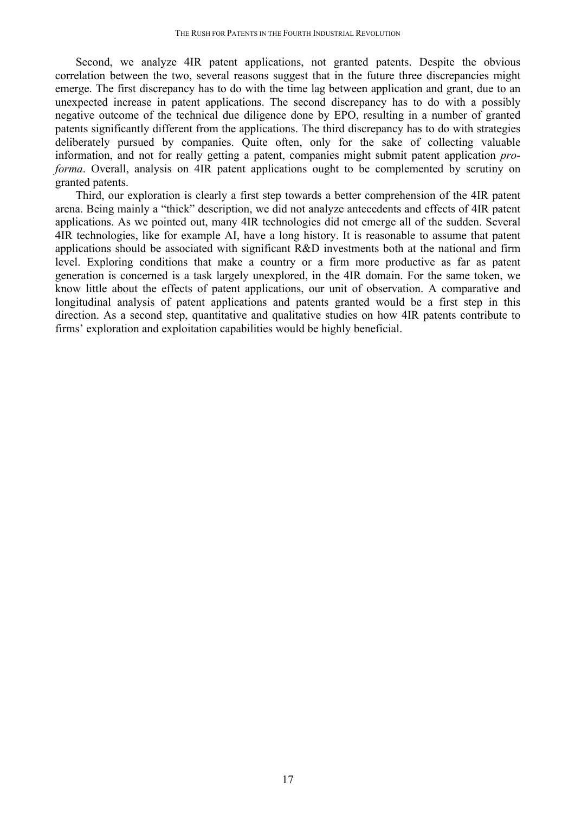Second, we analyze 4IR patent applications, not granted patents. Despite the obvious correlation between the two, several reasons suggest that in the future three discrepancies might emerge. The first discrepancy has to do with the time lag between application and grant, due to an unexpected increase in patent applications. The second discrepancy has to do with a possibly negative outcome of the technical due diligence done by EPO, resulting in a number of granted patents significantly different from the applications. The third discrepancy has to do with strategies deliberately pursued by companies. Quite often, only for the sake of collecting valuable information, and not for really getting a patent, companies might submit patent application *proforma*. Overall, analysis on 4IR patent applications ought to be complemented by scrutiny on granted patents.

Third, our exploration is clearly a first step towards a better comprehension of the 4IR patent arena. Being mainly a "thick" description, we did not analyze antecedents and effects of 4IR patent applications. As we pointed out, many 4IR technologies did not emerge all of the sudden. Several 4IR technologies, like for example AI, have a long history. It is reasonable to assume that patent applications should be associated with significant R&D investments both at the national and firm level. Exploring conditions that make a country or a firm more productive as far as patent generation is concerned is a task largely unexplored, in the 4IR domain. For the same token, we know little about the effects of patent applications, our unit of observation. A comparative and longitudinal analysis of patent applications and patents granted would be a first step in this direction. As a second step, quantitative and qualitative studies on how 4IR patents contribute to firms' exploration and exploitation capabilities would be highly beneficial.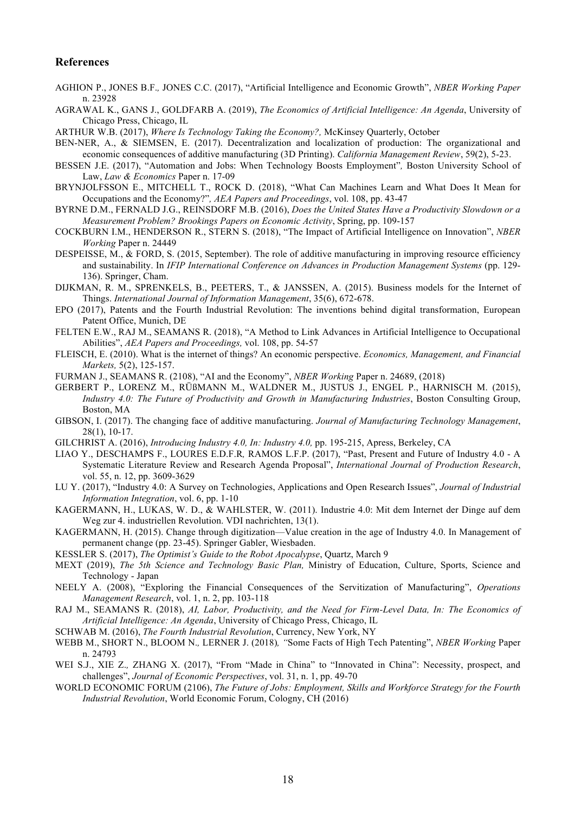#### **References**

- AGHION P., JONES B.F.*,* JONES C.C. (2017), "Artificial Intelligence and Economic Growth", *NBER Working Paper* n. 23928
- AGRAWAL K., GANS J., GOLDFARB A. (2019), *The Economics of Artificial Intelligence: An Agenda*, University of Chicago Press, Chicago, IL
- ARTHUR W.B. (2017), *Where Is Technology Taking the Economy?,* McKinsey Quarterly, October
- BEN-NER, A., & SIEMSEN, E. (2017). Decentralization and localization of production: The organizational and economic consequences of additive manufacturing (3D Printing). *California Management Review*, 59(2), 5-23.
- BESSEN J.E. (2017), "Automation and Jobs: When Technology Boosts Employment"*,* Boston University School of Law, *Law & Economics* Paper n. 17-09
- BRYNJOLFSSON E., MITCHELL T., ROCK D. (2018), "What Can Machines Learn and What Does It Mean for Occupations and the Economy?"*, AEA Papers and Proceedings*, vol. 108, pp. 43-47
- BYRNE D.M., FERNALD J.G., REINSDORF M.B. (2016), *Does the United States Have a Productivity Slowdown or a Measurement Problem? Brookings Papers on Economic Activity*, Spring, pp. 109-157
- COCKBURN I.M., HENDERSON R., STERN S. (2018), "The Impact of Artificial Intelligence on Innovation", *NBER Working* Paper n. 24449
- DESPEISSE, M., & FORD, S. (2015, September). The role of additive manufacturing in improving resource efficiency and sustainability. In *IFIP International Conference on Advances in Production Management Systems* (pp. 129- 136). Springer, Cham.
- DIJKMAN, R. M., SPRENKELS, B., PEETERS, T., & JANSSEN, A. (2015). Business models for the Internet of Things. *International Journal of Information Management*, 35(6), 672-678.
- EPO (2017), Patents and the Fourth Industrial Revolution: The inventions behind digital transformation, European Patent Office, Munich, DE
- FELTEN E.W., RAJ M., SEAMANS R. (2018), "A Method to Link Advances in Artificial Intelligence to Occupational Abilities", *AEA Papers and Proceedings,* vol. 108, pp. 54-57
- FLEISCH, E. (2010). What is the internet of things? An economic perspective. *Economics, Management, and Financial Markets,* 5(2), 125-157.
- FURMAN J., SEAMANS R. (2108), "AI and the Economy", *NBER Working* Paper n. 24689, (2018)
- GERBERT P., LORENZ M., RÜßMANN M., WALDNER M., JUSTUS J., ENGEL P., HARNISCH M. (2015), *Industry 4.0: The Future of Productivity and Growth in Manufacturing Industries*, Boston Consulting Group, Boston, MA
- GIBSON, I. (2017). The changing face of additive manufacturing. *Journal of Manufacturing Technology Management*, 28(1), 10-17.
- GILCHRIST A. (2016), *Introducing Industry 4.0, In: Industry 4.0,* pp. 195-215, Apress, Berkeley, CA
- LIAO Y., DESCHAMPS F., LOURES E.D.F.R*,* RAMOS L.F.P. (2017), "Past, Present and Future of Industry 4.0 A Systematic Literature Review and Research Agenda Proposal", *International Journal of Production Research*, vol. 55, n. 12, pp. 3609-3629
- LU Y. (2017), "Industry 4.0: A Survey on Technologies, Applications and Open Research Issues", *Journal of Industrial Information Integration*, vol. 6, pp. 1-10
- KAGERMANN, H., LUKAS, W. D., & WAHLSTER, W. (2011). Industrie 4.0: Mit dem Internet der Dinge auf dem Weg zur 4. industriellen Revolution. VDI nachrichten, 13(1).
- KAGERMANN, H. (2015). Change through digitization—Value creation in the age of Industry 4.0. In Management of permanent change (pp. 23-45). Springer Gabler, Wiesbaden.
- KESSLER S. (2017), *The Optimist's Guide to the Robot Apocalypse*, Quartz, March 9
- MEXT (2019), *The 5th Science and Technology Basic Plan,* Ministry of Education, Culture, Sports, Science and Technology - Japan
- NEELY A. (2008), "Exploring the Financial Consequences of the Servitization of Manufacturing", *Operations Management Research*, vol. 1, n. 2, pp. 103-118
- RAJ M., SEAMANS R. (2018), *AI, Labor, Productivity, and the Need for Firm-Level Data, In: The Economics of Artificial Intelligence: An Agenda*, University of Chicago Press, Chicago, IL
- SCHWAB M. (2016), *The Fourth Industrial Revolution*, Currency, New York, NY
- WEBB M., SHORT N., BLOOM N.*,* LERNER J. (2018)*, "*Some Facts of High Tech Patenting", *NBER Working* Paper n. 24793
- WEI S.J., XIE Z., ZHANG X. (2017), "From "Made in China" to "Innovated in China": Necessity, prospect, and challenges", *Journal of Economic Perspectives*, vol. 31, n. 1, pp. 49-70
- WORLD ECONOMIC FORUM (2106), *The Future of Jobs: Employment, Skills and Workforce Strategy for the Fourth Industrial Revolution*, World Economic Forum, Cologny, CH (2016)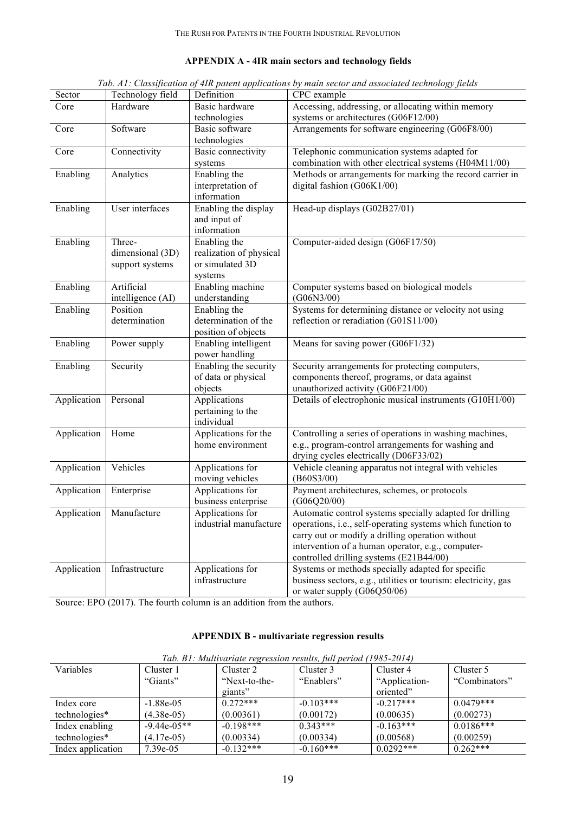#### **APPENDIX A - 4IR main sectors and technology fields**

| Sector      | Technology field  | Definition                                   | CPC example                                                                                      |
|-------------|-------------------|----------------------------------------------|--------------------------------------------------------------------------------------------------|
| Core        | Hardware          | Basic hardware                               | Accessing, addressing, or allocating within memory                                               |
|             |                   | technologies                                 | systems or architectures (G06F12/00)                                                             |
| Core        | Software          | Basic software                               | Arrangements for software engineering (G06F8/00)                                                 |
|             |                   | technologies                                 |                                                                                                  |
| Core        | Connectivity      | Basic connectivity                           | Telephonic communication systems adapted for                                                     |
|             |                   | systems                                      | combination with other electrical systems (H04M11/00)                                            |
| Enabling    | Analytics         | Enabling the                                 | Methods or arrangements for marking the record carrier in                                        |
|             |                   | interpretation of                            | digital fashion (G06K1/00)                                                                       |
|             |                   | information                                  |                                                                                                  |
| Enabling    | User interfaces   | Enabling the display                         | Head-up displays (G02B27/01)                                                                     |
|             |                   | and input of                                 |                                                                                                  |
|             |                   | information                                  |                                                                                                  |
| Enabling    | Three-            | Enabling the                                 | Computer-aided design (G06F17/50)                                                                |
|             | dimensional (3D)  | realization of physical                      |                                                                                                  |
|             | support systems   | or simulated 3D                              |                                                                                                  |
|             |                   | systems                                      |                                                                                                  |
| Enabling    | Artificial        | Enabling machine                             | Computer systems based on biological models                                                      |
|             | intelligence (AI) | understanding                                | (G06N3/00)                                                                                       |
| Enabling    | Position          | Enabling the                                 | Systems for determining distance or velocity not using                                           |
|             | determination     | determination of the                         | reflection or reradiation (G01S11/00)                                                            |
| Enabling    |                   | position of objects<br>Enabling intelligent  |                                                                                                  |
|             | Power supply      | power handling                               | Means for saving power (G06F1/32)                                                                |
|             |                   |                                              |                                                                                                  |
| Enabling    | Security          | Enabling the security<br>of data or physical | Security arrangements for protecting computers,<br>components thereof, programs, or data against |
|             |                   | objects                                      | unauthorized activity (G06F21/00)                                                                |
| Application | Personal          | Applications                                 | Details of electrophonic musical instruments (G10H1/00)                                          |
|             |                   | pertaining to the                            |                                                                                                  |
|             |                   | individual                                   |                                                                                                  |
| Application | Home              | Applications for the                         | Controlling a series of operations in washing machines,                                          |
|             |                   | home environment                             | e.g., program-control arrangements for washing and                                               |
|             |                   |                                              | drying cycles electrically (D06F33/02)                                                           |
| Application | Vehicles          | Applications for                             | Vehicle cleaning apparatus not integral with vehicles                                            |
|             |                   | moving vehicles                              | (B60S3/00)                                                                                       |
| Application | Enterprise        | Applications for                             | Payment architectures, schemes, or protocols                                                     |
|             |                   | business enterprise                          | (G06Q20/00)                                                                                      |
| Application | Manufacture       | Applications for                             | Automatic control systems specially adapted for drilling                                         |
|             |                   | industrial manufacture                       | operations, i.e., self-operating systems which function to                                       |
|             |                   |                                              | carry out or modify a drilling operation without                                                 |
|             |                   |                                              | intervention of a human operator, e.g., computer-                                                |
|             |                   |                                              | controlled drilling systems (E21B44/00)                                                          |
| Application | Infrastructure    | Applications for                             | Systems or methods specially adapted for specific                                                |
|             |                   | infrastructure                               | business sectors, e.g., utilities or tourism: electricity, gas                                   |
|             |                   |                                              | or water supply (G06Q50/06)                                                                      |

*Tab. A1: Classification of 4IR patent applications by main sector and associated technology fields*

Source: EPO (2017). The fourth column is an addition from the authors.

#### **APPENDIX B - multivariate regression results**

| Tab. B1: Multivariate regression results, full period (1985-2014) |                  |               |             |               |               |  |
|-------------------------------------------------------------------|------------------|---------------|-------------|---------------|---------------|--|
| Variables                                                         | Cluster 1        | Cluster 2     | Cluster 3   | Cluster 4     | Cluster 5     |  |
|                                                                   | "Giants"         | "Next-to-the- | "Enablers"  | "Application- | "Combinators" |  |
|                                                                   |                  | giants"       |             | oriented"     |               |  |
| Index core                                                        | $-1.88e-0.5$     | $0.272***$    | $-0.103***$ | $-0.217***$   | $0.0479***$   |  |
| technologies*                                                     | $(4.38e-05)$     | (0.00361)     | (0.00172)   | (0.00635)     | (0.00273)     |  |
| Index enabling                                                    | $-9.44e - 0.5**$ | $-0.198***$   | $0.343***$  | $-0.163***$   | $0.0186***$   |  |
| technologies*                                                     | $(4.17e-0.5)$    | (0.00334)     | (0.00334)   | (0.00568)     | (0.00259)     |  |
| Index application                                                 | $7.39e-0.5$      | $-0.132***$   | $-0.160***$ | $0.0292***$   | $0.262***$    |  |

| Tab. B1: Multivariate regression results, full period (1985-2014) |  |  |  |  |  |
|-------------------------------------------------------------------|--|--|--|--|--|
|-------------------------------------------------------------------|--|--|--|--|--|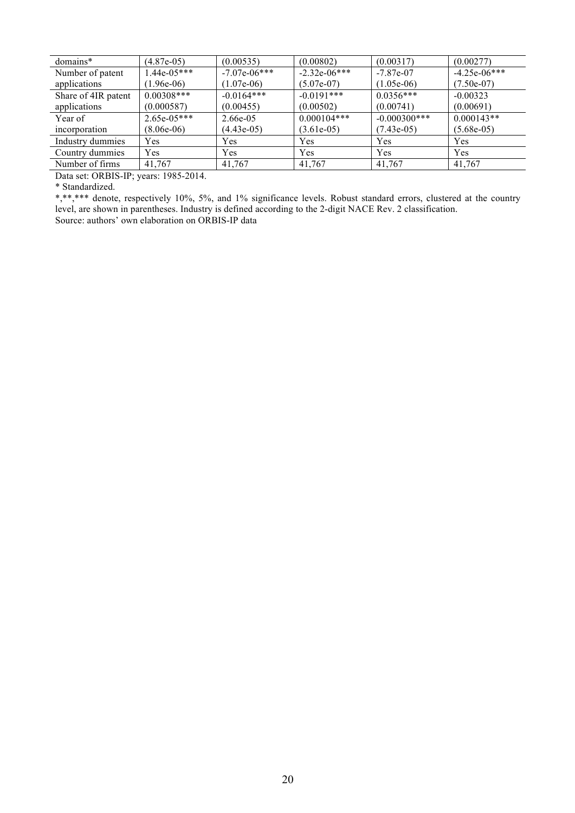| domains*            | $(4.87e-05)$   | (0.00535)      | (0.00802)      | (0.00317)       | (0.00277)      |
|---------------------|----------------|----------------|----------------|-----------------|----------------|
| Number of patent    | $1.44e-0.5***$ | $-7.07e-06***$ | $-2.32e-06***$ | $-7.87e-07$     | $-4.25e-06***$ |
| applications        | $(1.96e-06)$   | $(1.07e-06)$   | $(5.07e-07)$   | $(1.05e-06)$    | $(7.50e-07)$   |
| Share of 4IR patent | $0.00308***$   | $-0.0164***$   | $-0.0191***$   | $0.0356***$     | $-0.00323$     |
| applications        | (0.000587)     | (0.00455)      | (0.00502)      | (0.00741)       | (0.00691)      |
| Year of             | $2.65e-05***$  | 2.66e-05       | $0.000104***$  | $-0.000300$ *** | $0.000143**$   |
| incorporation       | $(8.06e-06)$   | $(4.43e-05)$   | $(3.61e-05)$   | $(7.43e-05)$    | $(5.68e-05)$   |
| Industry dummies    | Yes            | Yes            | Yes            | Yes             | <b>Yes</b>     |
| Country dummies     | Yes            | Yes            | Yes            | Yes             | Yes            |
| Number of firms     | 41,767         | 41,767         | 41,767         | 41,767          | 41,767         |
|                     |                |                |                |                 |                |

Data set: ORBIS-IP; years: 1985-2014.

\* Standardized.

\*,\*\*,\*\*\* denote, respectively 10%, 5%, and 1% significance levels. Robust standard errors, clustered at the country level, are shown in parentheses. Industry is defined according to the 2-digit NACE Rev. 2 classification. Source: authors' own elaboration on ORBIS-IP data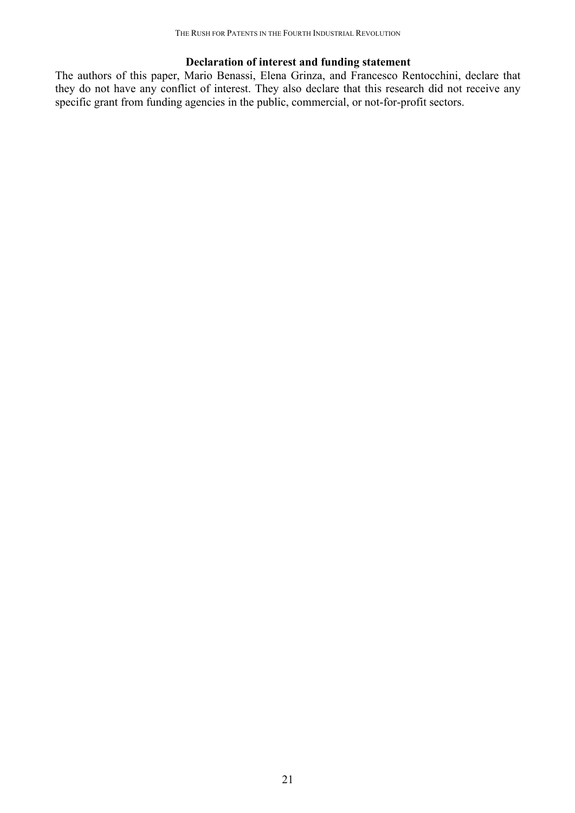### **Declaration of interest and funding statement**

The authors of this paper, Mario Benassi, Elena Grinza, and Francesco Rentocchini, declare that they do not have any conflict of interest. They also declare that this research did not receive any specific grant from funding agencies in the public, commercial, or not-for-profit sectors.